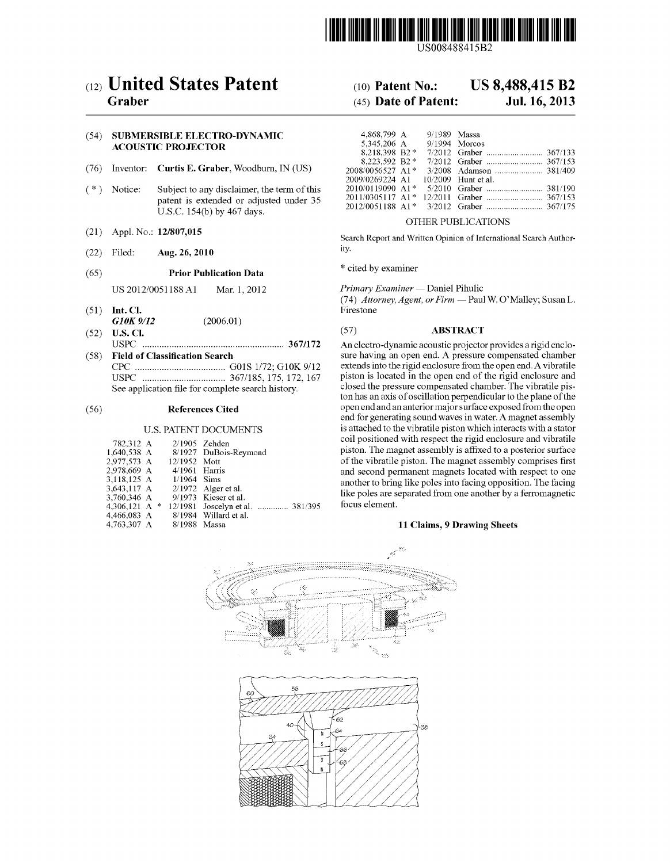

USOO8488415B2

# (54) SUBMERSIBLE ELECTRO-DYNAMIC ACOUSTIC PROJECTOR

- (76) Inventor: Curtis E. Graber, Woodburn, IN (US)
- $(* )$  Notice: Subject to any disclaimer, the term of this patent is extended or adjusted under 35 U.S.C. 154(b) by 467 days.
- 
- (22) Filed: Aug. 26, 2010 ity.

# (65) **Prior Publication Data** \* cited by examiner

US 2012/0051188 A1 Mar. 1, 2012 Primary Examiner - Daniel Pihulic

- (51) Int. Cl.<br>  $G10K 9/12$  (2006.01) G10K 9/12<br>U.S. Cl.
- (52) U.S. Cl.  $(57)$  ABSTRACT
- 

# U.S. PATENT DOCUMENTS

| 782,312 A       |  |                 | $2/1905$ Zehden                  |
|-----------------|--|-----------------|----------------------------------|
| 1,640,538 A     |  |                 | 8/1927 DuBois-Reymond            |
| 2.977,573 A     |  | 12/1952 Mott    |                                  |
| 2,978,669 A     |  | $4/1961$ Harris |                                  |
| 3,118,125 A     |  | $1/1964$ Sims   |                                  |
|                 |  |                 | 3,643,117 A 2/1972 Alger et al.  |
| 3,760,346 A     |  |                 | 9/1973 Kieser et al.             |
| 4.306.121 A $*$ |  |                 | 12/1981 Joscelyn et al.  381/395 |
| 4.466.083 A     |  |                 | 8/1984 Willard et al.            |
| 4.763.307 A     |  | 8/1988 Massa    |                                  |

# (12) United States Patent (10) Patent No.: US 8,488,415 B2<br>Graber (45) Date of Patent: Jul. 16, 2013

# $(45)$  Date of Patent:

| 4,868,799 A                                | 9/1989 Massa    |  |
|--------------------------------------------|-----------------|--|
| 5.345.206 A                                | $9/1994$ Morcos |  |
| 8.218.398 B2*                              |                 |  |
| 8,223,592 B2*                              |                 |  |
| 2008/0056527 A1*                           |                 |  |
| 2009/0269224 A1 10/2009 Hunt et al.        |                 |  |
| 2010/0119090 A1*                           |                 |  |
| $2011/0305117$ A <sub>1</sub> <sup>*</sup> |                 |  |
|                                            |                 |  |
|                                            |                 |  |

# OTHER PUBLICATIONS

(21) Appl. No.: 12/807,015 Search Report and Written Opinion of International Search Author

(74) Attorney, Agent, or Firm - Paul W. O'Malley; Susan L. Firestone

USPC .......................................................... 367/172 An electro-dynamic acoustic projector provides a rigid enclo (58) Field of Classification Search Sure having an open end. A pressure compensated chamber CPC ..................................... G01S 1/72: G 10K 9/12 extends into the rigid enclosure from the open end. A vibratile USPC .................................. 367/185, 175, 172, 167 piston is located in the open end of the rigid enclosure and ton has an axis of oscillation perpendicular to the plane of the (56) References Cited open end and an anterior major surface exposed from the open end for generating sound waves in water. A magnet assembly is attached to the vibratile piston which interacts with a stator coil positioned with respect the rigid enclosure and vibratile piston. The magnet assembly is affixed to a posterior surface of the vibratile piston. The magnet assembly comprises first and second permanent magnets located with respect to one another to bring like poles into facing opposition. The facing like poles are separated from one another by a ferromagnetic focus element.

### 11 Claims, 9 Drawing Sheets

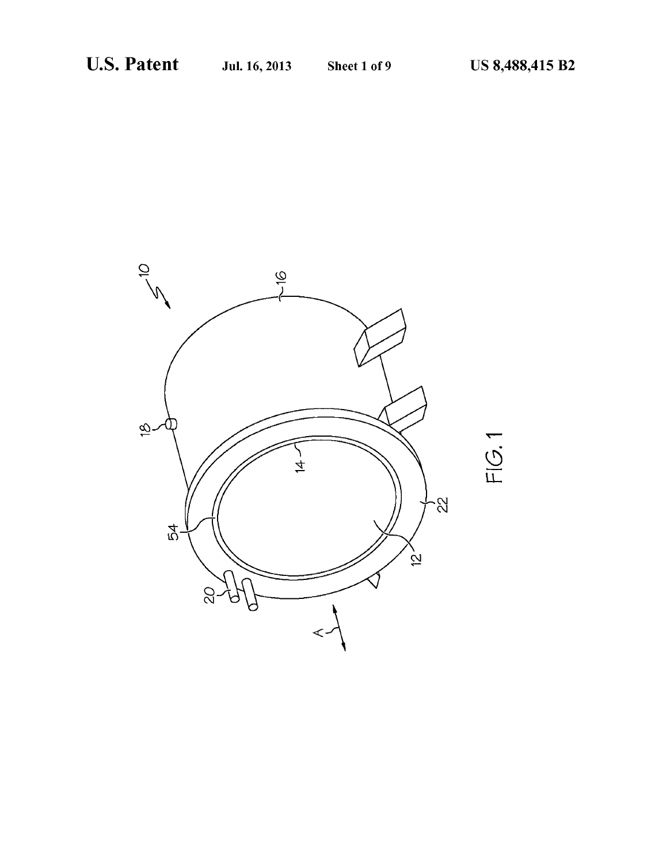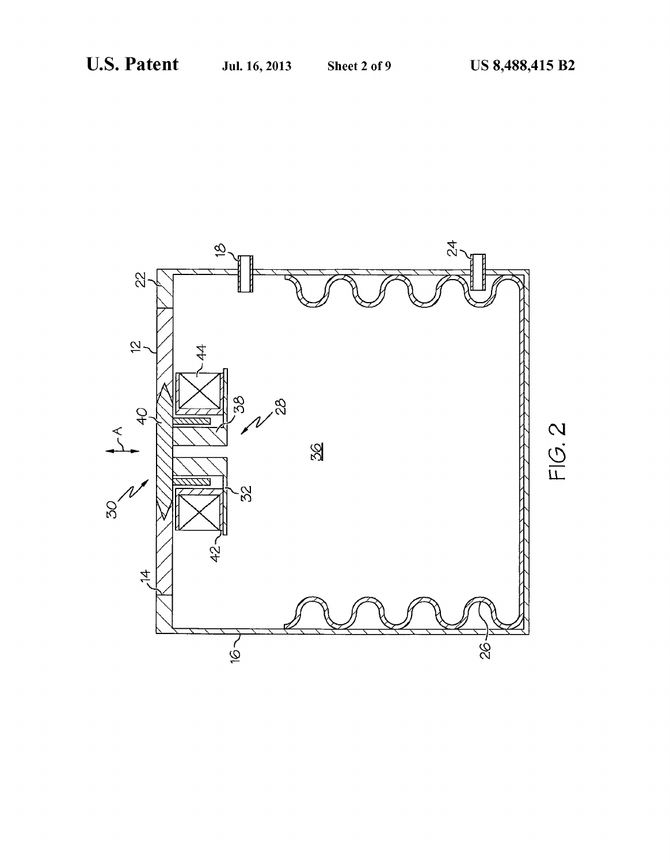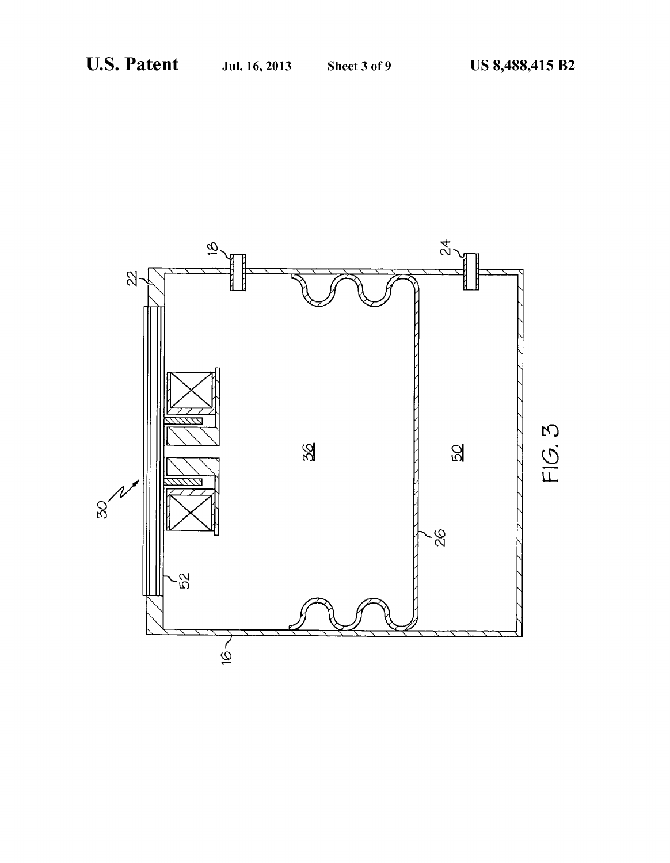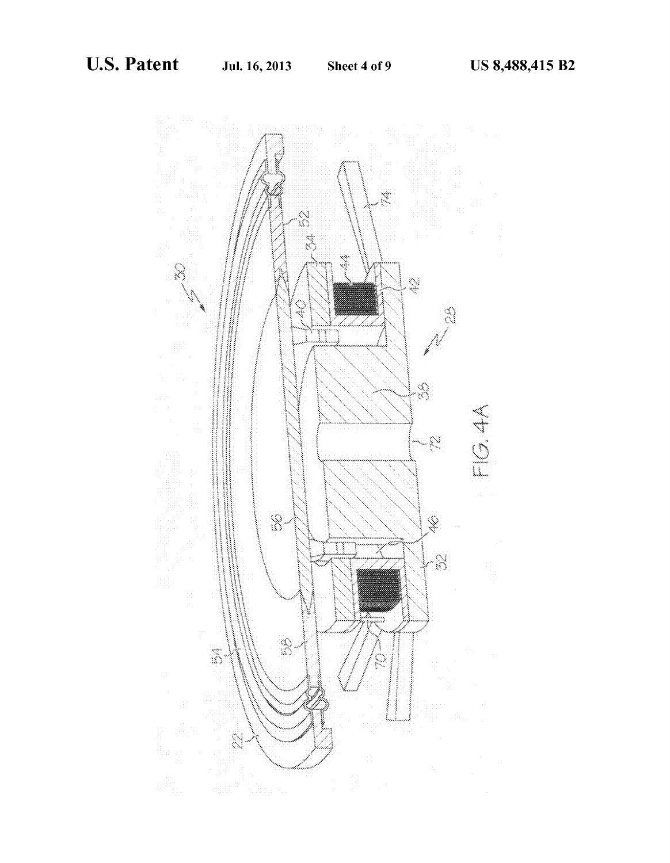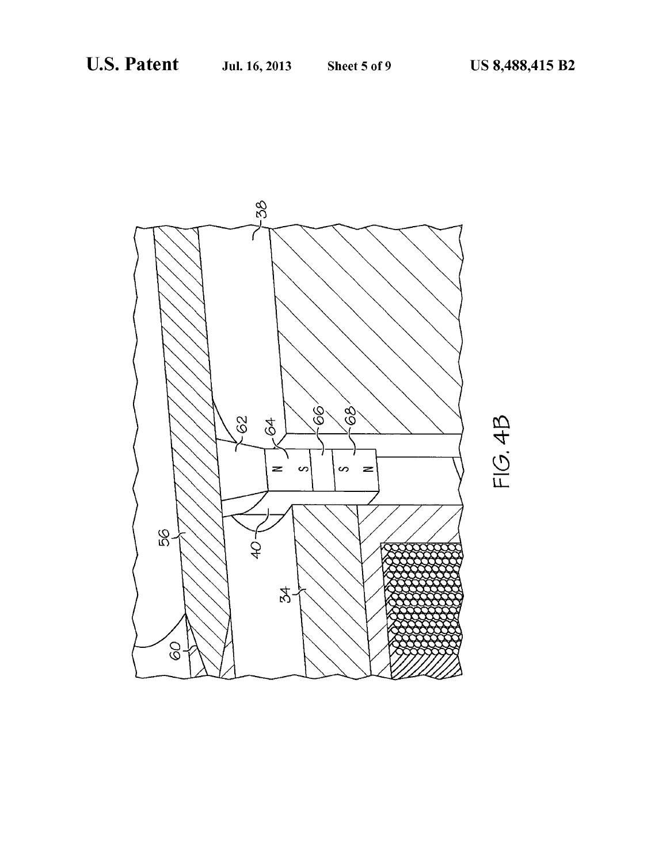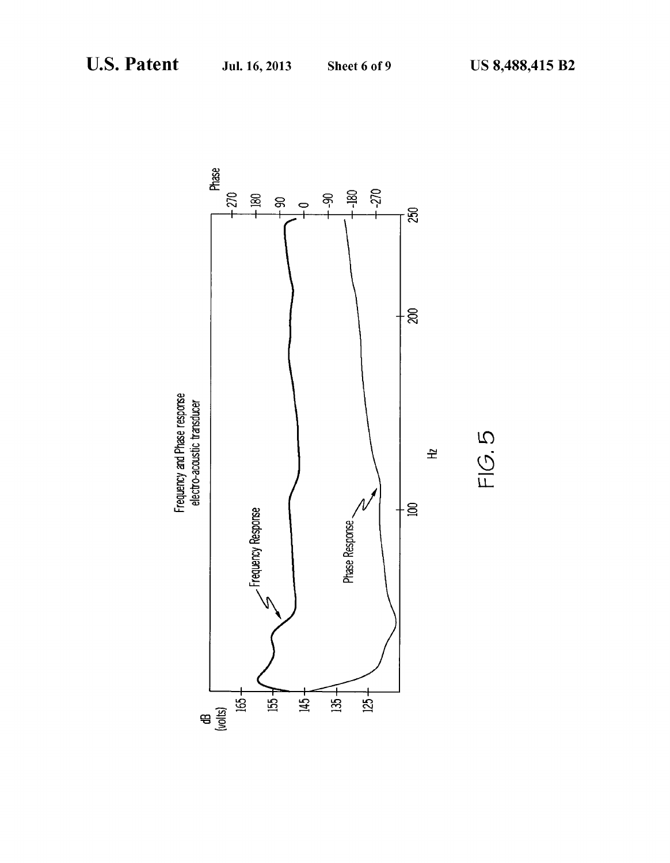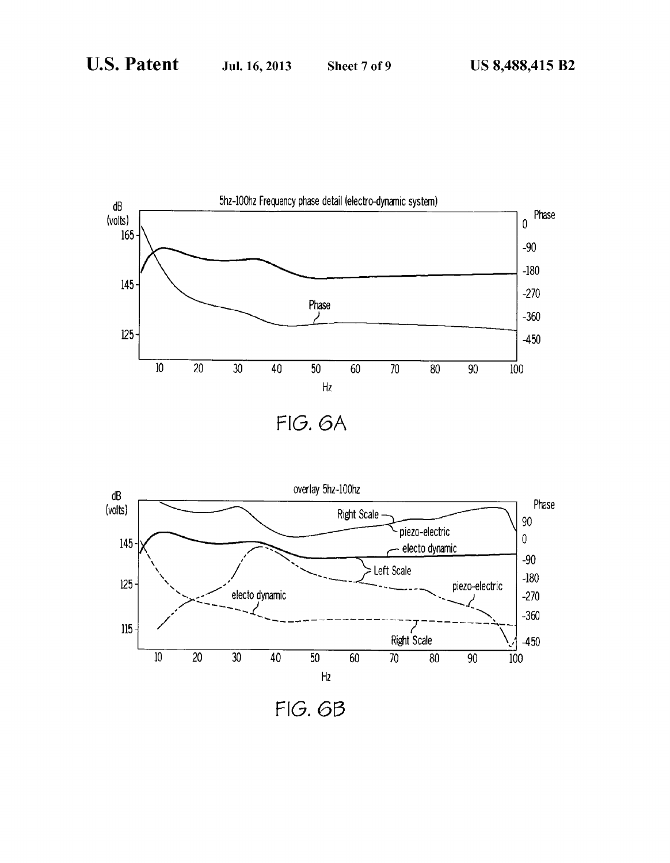

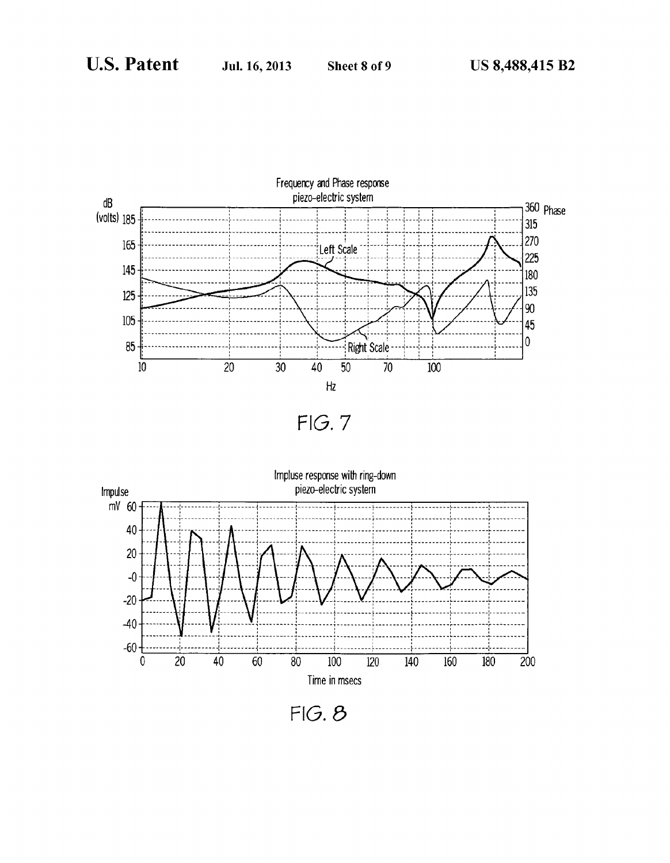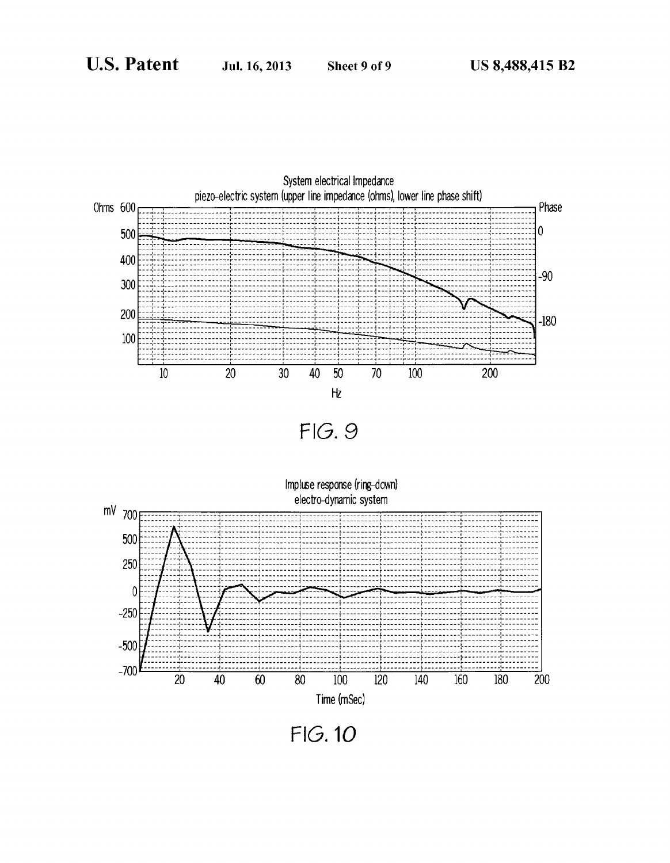

**FIG.10**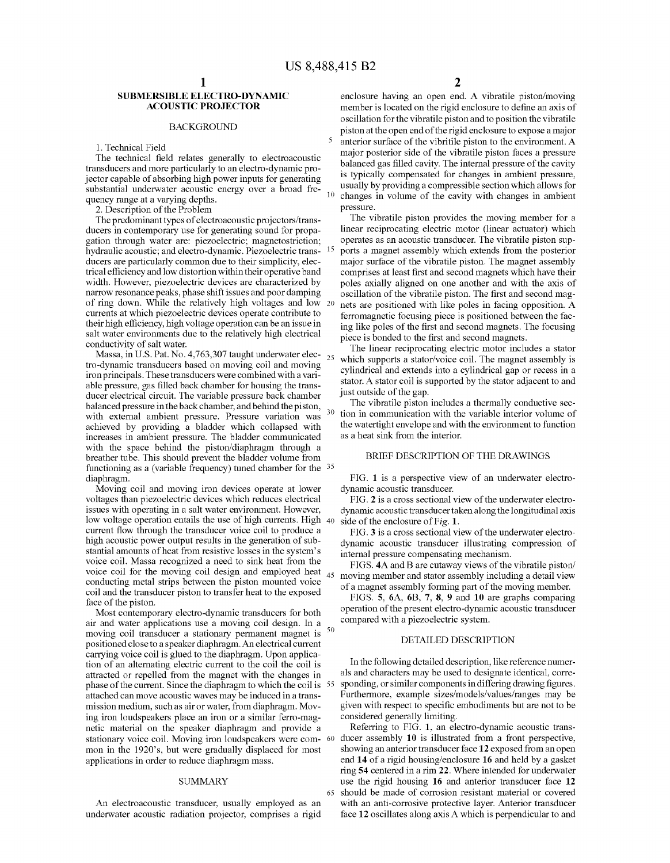10

15

30

65

# SUBMERSIBLE ELECTRO-DYNAMIC ACOUSTIC PROJECTOR

# BACKGROUND

# 1. Technical Field

The technical field relates generally to electroacoustic<br>transducers and more particularly to an electro-dynamic projector capable of absorbing high power inputs for generating substantial underwater acoustic energy over a broad frequency range at a varying depths.

2. Description of the Problem<br>The predominant types of electroacoustic projectors/transducers in contemporary use for generating sound for propagation through water are: piezoelectric; magnetostriction; hydraulic acoustic; and electro-dynamic. Piezoelectric trans ducers are particularly common due to their simplicity, elec trical efficiency and low distortion within their operative band width. However, piezoelectric devices are characterized by narrow resonance peaks, phase shift issues and poor damping of ring down. While the relatively high voltages and low 20 currents at which piezoelectric devices operate contribute to their high efficiency, high Voltage operation can be an issue in salt water environments due to the relatively high electrical conductivity of salt water.

Massa, in  $\cup$ .S. Pat. No. 4,763,307 taught underwater elec-  $_{25}$ tro-dynamic transducers based on moving coil and moving ironprincipals. These transducers were combined with a vari able pressure, gas filled back chamber for housing the trans ducer electrical circuit. The variable pressure back chamber balanced pressure in the back chamber, and behind the piston, with external ambient pressure. Pressure variation was achieved by providing a bladder which collapsed with increases in ambient pressure. The bladder communicated with the space behind the piston/diaphragm through a breather tube. This should prevent the bladder volume from functioning as a (variable frequency) tuned chamber for the <sup>35</sup><br>diaphragm.

Moving coil and moving iron devices operate at lower voltages than piezoelectric devices which reduces electrical issues with operating in a salt water environment. However, issues with operating in a salt water environment. However, low Voltage operation entails the use of high currents. High 40 current flow through the transducer Voice coil to produce a high acoustic power output results in the generation of substantial amounts of heat from resistive losses in the system's voice coil. Massa recognized a need to sink heat from the voice coil for the moving coil design and employed heat  $_{45}$ conducting metal strips between the piston mounted voice coil and the transducer piston to transfer heat to the exposed face of the piston.

Most contemporary electro-dynamic transducers for both air and water applications use a moving coil design. In a moving coil transducer a stationary permanent magnet is <sup>50</sup> positioned close to a speaker diaphragm. An electrical current carrying Voice coil is glued to the diaphragm. Upon applica tion of an alternating electric current to the coil the coil is attracted or repelled from the magnet with the changes in phase of the current. Since the diaphragm to which the coil is 55 attached can move acoustic waves may be induced in a trans mission medium, such as air or water, from diaphragm. Moving iron loudspeakers place an iron or a similar ferro-magnetic material on the speaker diaphragm and provide a stationary voice coil. Moving iron loudspeakers were com- 60 mon in the 1920's, but were gradually displaced for most applications in order to reduce diaphragm mass.

# **SUMMARY**

An electroacoustic transducer, usually employed as an underwater acoustic radiation projector, comprises a rigid enclosure having an open end. A vibratile piston/moving member is located on the rigid enclosure to define an axis of oscillation for the vibratile piston and to position the vibratile piston at the open end of the rigid enclosure to expose a major anterior surface of the vibritile piston to the environment. A major posterior side of the vibratile piston faces a pressure balanced gas filled cavity. The internal pressure of the cavity is typically compensated for changes in ambient pressure, usually by providing a compressible section which allows for changes in Volume of the cavity with changes in ambient pressure.

The vibratile piston provides the moving member for a linear reciprocating electric motor (linear actuator) which operates as an acoustic transducer. The vibratile piston Sup ports a magnet assembly which extends from the posterior major surface of the vibratile piston. The magnet assembly comprises at least first and second magnets which have their poles axially aligned on one another and with the axis of oscillation of the vibratile piston. The first and second mag nets are positioned with like poles in facing opposition. A ferromagnetic focusing piece is positioned between the fac ing like poles of the first and second magnets. The focusing piece is bonded to the first and second magnets.

The linear reciprocating electric motor includes a stator which supports a stator/voice coil. The magnet assembly is cylindrical and extends into a cylindrical gap or recess in a stator. A stator coil is supported by the stator adjacent to and just outside of the gap.

The vibratile piston includes a thermally conductive sec tion in communication with the variable interior volume of the watertight envelope and with the environment to function as a heat sink from the interior.

# BRIEF DESCRIPTION OF THE DRAWINGS

FIG. 1 is a perspective view of an underwater electro dynamic acoustic transducer.

FIG. 2 is a cross sectional view of the underwater electro dynamic acoustic transducertaken along the longitudinal axis side of the enclosure of Fig. 1.

FIG. 3 is a cross sectional view of the underwater electro dynamic acoustic transducer illustrating compression of internal pressure compensating mechanism.<br>FIGS. 4A and B are cutaway views of the vibratile piston/

moving member and stator assembly including a detail view of a magnet assembly forming part of the moving member.

FIGS. 5, 6A, 6B, 7, 8, 9 and 10 are graphs comparing operation of the present electro-dynamic acoustic transducer compared with a piezoelectric system.

### DETAILED DESCRIPTION

In the following detailed description, like reference numer als and characters may be used to designate identical, corre sponding, or similar components in differing drawing figures. Furthermore, example sizes/models/values/ranges may be given with respect to specific embodiments but are not to be considered generally limiting.

Referring to FIG. 1, an electro-dynamic acoustic trans-<br>ducer assembly 10 is illustrated from a front perspective, showing an anterior transducer face 12 exposed from an open end 14 of a rigid housing/enclosure 16 and held by a gasket ring 54 centered in a rim 22. Where intended for underwater use the rigid housing 16 and anterior transducer face 12 should be made of corrosion resistant material or covered with an anti-corrosive protective layer. Anterior transducer face 12 oscillates along axis A which is perpendicular to and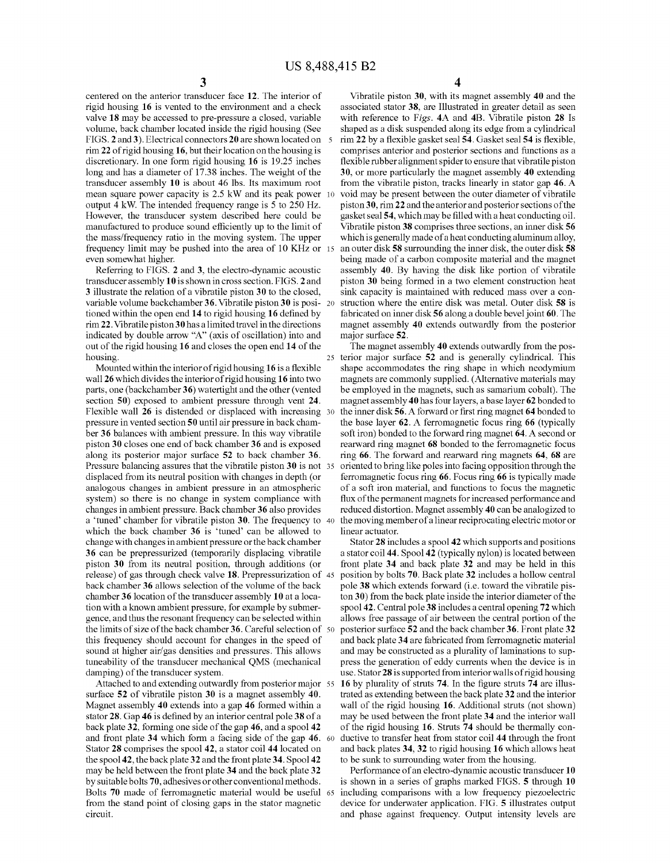centered on the anterior transducer face 12. The interior of rigid housing 16 is vented to the environment and a check valve 18 may be accessed to pre-pressure a closed, variable Volume, back chamber located inside the rigid housing (See FIGS. 2 and 3). Electrical connectors 20 are shown located on 5 rim 22 of rigid housing 16, but their location on the housing is discretionary. In one form rigid housing 16 is 19.25 inches long and has a diameter of 17.38 inches. The weight of the transducer assembly 10 is about 46 lbs. Its maximum root mean square power capacity is 2.5 kW and its peak power 10 output 4 kW. The intended frequency range is 5 to 250 Hz. However, the transducer system described here could be manufactured to produce sound efficiently up to the limit of the mass/frequency ratio in the moving system. The upper frequency limit may be pushed into the area of 10 KHz or 15 even somewhat higher. Referring to FIGS. 2 and 3, the electro-dynamic acoustic

transducer assembly 10 is shown in cross section. FIGS. 2 and 3 illustrate the relation of a vibratile piston 30 to the closed, variable volume backchamber 36. Vibratile piston 30 is posi- 20 tioned within the open end 14 to rigid housing 16 defined by rim 22. Vibratile piston30 has a limited travel in the directions indicated by double arrow "A" (axis of oscillation) into and out of the rigid housing 16 and closes the open end 14 of the housing.

Mounted within the interior of rigid housing 16 is a flexible wall 26 which divides the interior of rigid housing 16 into two parts, one (backchamber 36) watertight and the other (vented section 50) exposed to ambient pressure through vent 24. Flexible wall 26 is distended or displaced with increasing 30 pressure invented section 50 until air pressure in back cham ber 36 balances with ambient pressure. In this way vibratile piston 30 closes one end of back chamber 36 and is exposed along its posterior major surface 52 to back chamber 36. Pressure balancing assures that the vibratile piston 30 is not 35 displaced from its neutral position with changes in depth (or analogous changes in ambient pressure in an atmospheric system) so there is no change in system compliance with changes in ambient pressure. Back chamber 36 also provides a funed chamber for vibratile piston **30**. The frequency to 40 which the back chamber 36 is 'tuned' can be allowed to change with changes in ambient pressure or the back chamber 36 can be prepressurized (temporarily displacing vibratile piston 30 from its neutral position, through additions (or release) of gas through check valve 18. Prepressurization of 45 back chamber 36 allows selection of the volume of the back chamber 36 location of the transducer assembly 10 at a loca tion with a known ambient pressure, for example by submergence, and thus the resonant frequency can be selected within the limits of size of the back chamber 36. Careful selection of 50 this frequency should account for changes in the speed of sound at higher air/gas densities and pressures. This allows tuneability of the transducer mechanical QMS (mechanical damping) of the transducer system.

Attached to and extending outwardly from posterior major 55 surface 52 of vibratile piston 30 is a magnet assembly 40. Magnet assembly 40 extends into a gap 46 formed within a stator 28. Gap 46 is defined by an interior central pole 38 of a back plate 32, forming one side of the gap 46, and a spool 42 and front plate 34 which form a facing side of the gap 46. 60 Stator 28 comprises the spool 42, a stator coil 44 located on the spool 42, the back plate 32 and the front plate 34. Spool 42 may be held between the front plate 34 and the back plate 32 by suitable bolts 70, adhesives or other conventional methods. Bolts 70 made of ferromagnetic material would be useful 65 from the stand point of closing gaps in the stator magnetic circuit.

4

Vibratile piston 30, with its magnet assembly 40 and the associated stator 38, are Illustrated in greater detail as seen with reference to Figs.  $4A$  and  $4B$ . Vibratile piston  $28$  Is shaped as a disk suspended along its edge from a cylindrical rim 22 by a flexible gasket seal 54. Gasket seal 54 is flexible, comprises anterior and posterior sections and functions as a flexible rubber alignment spider to ensure that vibratile piston 30, or more particularly the magnet assembly 40 extending from the vibratile piston, tracks linearly in stator gap 46. A void may be present between the outer diameter of vibratile piston 30, rim 22 and the anterior and posterior sections of the gasket seal 54, which may be filled with a heat conducting oil. Vibratile piston 38 comprises three sections, an inner disk 56 which is generally made of a heat conducting aluminum alloy, an outer disk 58 surrounding the inner disk, the outer disk 58 being made of a carbon composite material and the magnet assembly 40. By having the disk like portion of vibratile piston 30 being formed in a two element construction heat sink capacity is maintained with reduced mass over a con struction where the entire disk was metal. Outer disk 58 is fabricated on inner disk 56 along a double bevel joint 60. The magnet assembly 40 extends outwardly from the posterior major surface 52.

25 terior major surface 52 and is generally cylindrical. This The magnet assembly 40 extends outwardly from the pos shape accommodates the ring shape in which neodymium magnets are commonly Supplied. (Alternative materials may be employed in the magnets, such as samarium cobalt). The magnet assembly 40 has four layers, a base layer 62 bonded to the inner disk 56. A forward or first ring magnet 64 bonded to the base layer 62. A ferromagnetic focus ring 66 (typically soft iron) bonded to the forward ring magnet 64. A second or rearward ring magnet 68 bonded to the ferromagnetic focus ring 66. The forward and rearward ring magnets 64, 68 are oriented to bring like poles into facing opposition through the ferromagnetic focus ring 66. Focus ring 66 is typically made of a soft iron material, and functions to focus the magnetic flux of the permanent magnets for increased performance and reduced distortion. Magnet assembly 40 can be analogized to the moving member of a linear reciprocating electric motor or linear actuator.

Stator 28 includes a spool 42 which supports and positions a stator coil 44. Spool 42 (typically nylon) is located between front plate 34 and back plate 32 and may be held in this position by bolts 70. Back plate 32 includes a hollow central pole 38 which extends forward (i.e. toward the vibratile pis ton 30) from the back plate inside the interior diameter of the spool 42. Central pole 38 includes a central opening 72 which allows free passage of air between the central portion of the posterior surface 52 and the back chamber 36. Front plate 32 and back plate 34 are fabricated from ferromagnetic material and may be constructed as a plurality of laminations to suppress the generation of eddy currents when the device is in use. Stator 28 is supported from interior walls of rigid housing 16 by plurality of struts 74. In the figure struts 74 are illus trated as extending between the back plate 32 and the interior wall of the rigid housing 16. Additional struts (not shown) may be used between the front plate 34 and the interior wall of the rigid housing 16. Struts 74 should be thermally con ductive to transfer heat from stator coil 44 through the front and back plates 34, 32 to rigid housing 16 which allows heat to be sunk to surrounding water from the housing.

Performance of an electro-dynamic acoustic transducer 10 is shown in a series of graphs marked FIGS. 5 through 10 including comparisons with a low frequency piezoelectric<br>device for underwater application. FIG. 5 illustrates output and phase against frequency. Output intensity levels are